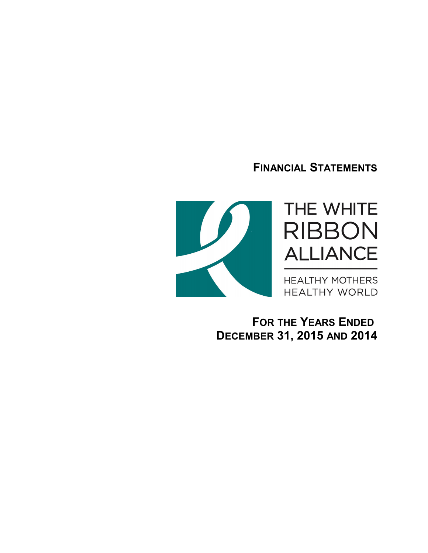**FINANCIAL STATEMENTS**



**FOR THE YEARS ENDED DECEMBER 31, 2015 AND 2014**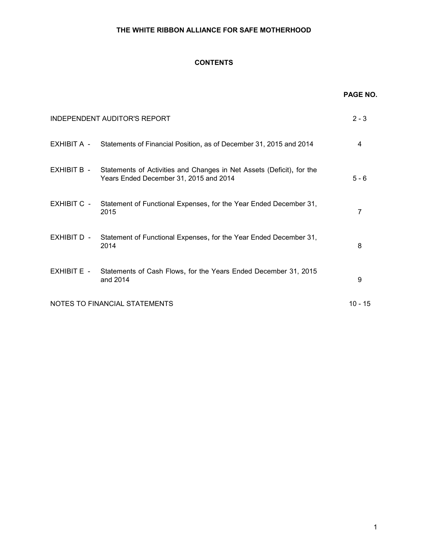# **CONTENTS**

|               |                                                                                                                 | <b>PAGE NO.</b> |
|---------------|-----------------------------------------------------------------------------------------------------------------|-----------------|
|               | INDEPENDENT AUDITOR'S REPORT                                                                                    | $2 - 3$         |
|               | EXHIBIT A - Statements of Financial Position, as of December 31, 2015 and 2014                                  | 4               |
| EXHIBIT B -   | Statements of Activities and Changes in Net Assets (Deficit), for the<br>Years Ended December 31, 2015 and 2014 | $5 - 6$         |
| EXHIBIT C -   | Statement of Functional Expenses, for the Year Ended December 31,<br>2015                                       | $\overline{7}$  |
| EXHIBIT D -   | Statement of Functional Expenses, for the Year Ended December 31,<br>2014                                       | 8               |
| $EXHIBIT E -$ | Statements of Cash Flows, for the Years Ended December 31, 2015<br>and 2014                                     | 9               |
|               | NOTES TO FINANCIAL STATEMENTS                                                                                   | $10 - 15$       |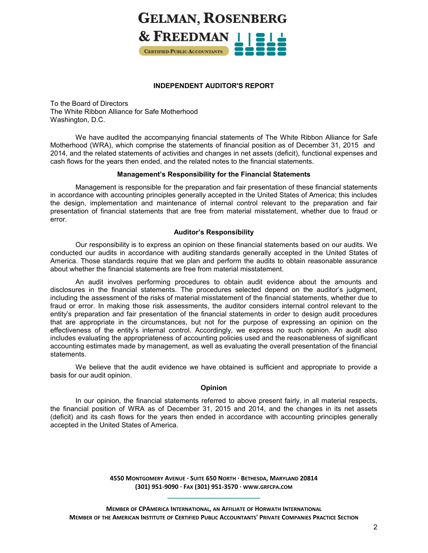# **GELMAN, ROSENBERG** & FREEDMAN  $\frac{1}{2}$ **CERTIFIED PUBLIC ACCOUNTANTS**

#### **INDEPENDENT AUDITOR'S REPORT**

To the Board of Directors The White Ribbon Alliance for Safe Motherhood Washington, D.C.

We have audited the accompanying financial statements of The White Ribbon Alliance for Safe Motherhood (WRA), which comprise the statements of financial position as of December 31, 2015 and 2014, and the related statements of activities and changes in net assets (deficit), functional expenses and cash flows for the years then ended, and the related notes to the financial statements.

#### **Management's Responsibility for the Financial Statements**

Management is responsible for the preparation and fair presentation of these financial statements in accordance with accounting principles generally accepted in the United States of America; this includes the design, implementation and maintenance of internal control relevant to the preparation and fair presentation of financial statements that are free from material misstatement, whether due to fraud or error.

# **Auditor's Responsibility**

Our responsibility is to express an opinion on these financial statements based on our audits. We conducted our audits in accordance with auditing standards generally accepted in the United States of America. Those standards require that we plan and perform the audits to obtain reasonable assurance about whether the financial statements are free from material misstatement.

An audit involves performing procedures to obtain audit evidence about the amounts and disclosures in the financial statements. The procedures selected depend on the auditor's judgment, including the assessment of the risks of material misstatement of the financial statements, whether due to fraud or error. In making those risk assessments, the auditor considers internal control relevant to the entity's preparation and fair presentation of the financial statements in order to design audit procedures that are appropriate in the circumstances, but not for the purpose of expressing an opinion on the effectiveness of the entity's internal control. Accordingly, we express no such opinion. An audit also includes evaluating the appropriateness of accounting policies used and the reasonableness of significant accounting estimates made by management, as well as evaluating the overall presentation of the financial statements.

We believe that the audit evidence we have obtained is sufficient and appropriate to provide a basis for our audit opinion.

# **Opinion**

In our opinion, the financial statements referred to above present fairly, in all material respects, the financial position of WRA as of December 31, 2015 and 2014, and the changes in its net assets (deficit) and its cash flows for the years then ended in accordance with accounting principles generally accepted in the United States of America.

> **4550 MONTGOMERY AVENUE · SUITE 650 NORTH · BETHESDA, MARYLAND 20814 (301) 951-9090 · FAX (301) 951-3570 · WWW.GRFCPA.COM \_\_\_\_\_\_\_\_\_\_\_\_\_\_\_\_\_\_\_\_\_\_\_\_\_\_\_**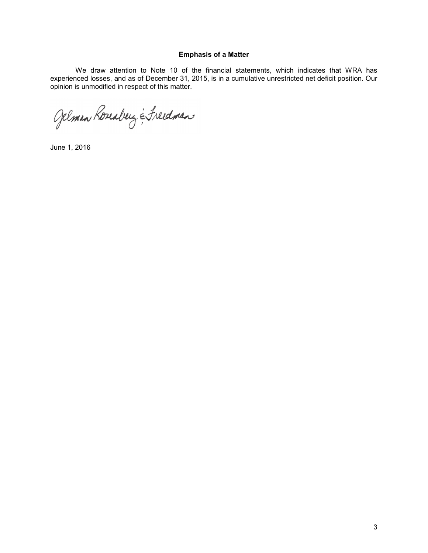#### **Emphasis of a Matter**

We draw attention to Note 10 of the financial statements, which indicates that WRA has experienced losses, and as of December 31, 2015, is in a cumulative unrestricted net deficit position. Our opinion is unmodified in respect of this matter.

Gelman Roseaberg & Freedman

June 1, 2016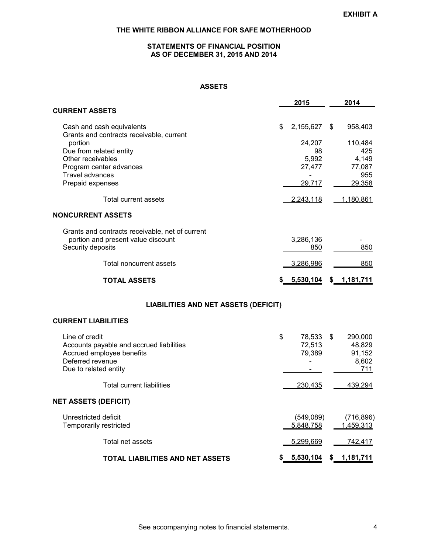# **STATEMENTS OF FINANCIAL POSITION AS OF DECEMBER 31, 2015 AND 2014**

# **ASSETS**

|                                                                       | 2015            | 2014            |
|-----------------------------------------------------------------------|-----------------|-----------------|
| <b>CURRENT ASSETS</b>                                                 |                 |                 |
| Cash and cash equivalents<br>Grants and contracts receivable, current | \$<br>2,155,627 | \$<br>958,403   |
| portion                                                               | 24,207          | 110,484         |
| Due from related entity                                               | 98              | 425             |
| Other receivables<br>Program center advances                          | 5,992<br>27,477 | 4,149<br>77,087 |
| <b>Travel advances</b>                                                |                 | 955             |
| Prepaid expenses                                                      | 29,717          | 29,358          |
| Total current assets                                                  | 2,243,118       | 1,180,861       |
| NONCURRENT ASSETS                                                     |                 |                 |
| Grants and contracts receivable, net of current                       |                 |                 |
| portion and present value discount                                    | 3,286,136       |                 |
| Security deposits                                                     | 850             | 850             |
| Total noncurrent assets                                               | 3,286,986       | 850             |
| <b>TOTAL ASSETS</b>                                                   | \$ 5,530,104    | \$ 1,181,711    |
| <b>LIABILITIES AND NET ASSETS (DEFICIT)</b>                           |                 |                 |
| <b>CURRENT LIABILITIES</b>                                            |                 |                 |
| Line of credit                                                        | \$<br>78,533    | \$<br>290,000   |
| Accounts payable and accrued liabilities                              | 72,513          | 48,829          |
| Accrued employee benefits                                             | 79,389          | 91,152          |
| Deferred revenue<br>Due to related entity                             |                 | 8,602<br>711    |
|                                                                       |                 |                 |
| <b>Total current liabilities</b>                                      | 230,435         | 439,294         |
| <b>NET ASSETS (DEFICIT)</b>                                           |                 |                 |
| Unrestricted deficit                                                  | (549,089)       | (716, 896)      |
| Temporarily restricted                                                | 5,848,758       | 1,459,313       |
| Total net assets                                                      | 5,299,669       | 742,417         |
| TOTAL LIABILITIES AND NET ASSETS                                      | \$<br>5,530,104 | \$ 1,181,711    |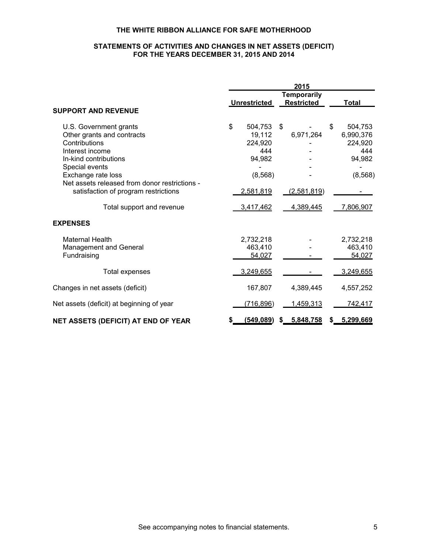# **STATEMENTS OF ACTIVITIES AND CHANGES IN NET ASSETS (DEFICIT) FOR THE YEARS DECEMBER 31, 2015 AND 2014**

|                                                                                                                               | 2015 |                                               |    |                                         |    |                                                  |
|-------------------------------------------------------------------------------------------------------------------------------|------|-----------------------------------------------|----|-----------------------------------------|----|--------------------------------------------------|
| <b>SUPPORT AND REVENUE</b>                                                                                                    |      | <b>Unrestricted</b>                           |    | <b>Temporarily</b><br><b>Restricted</b> |    | <b>Total</b>                                     |
|                                                                                                                               |      |                                               |    |                                         |    |                                                  |
| U.S. Government grants<br>Other grants and contracts<br>Contributions<br>Interest income<br>In-kind contributions             | \$   | 504,753<br>19,112<br>224,920<br>444<br>94,982 | \$ | 6,971,264                               | \$ | 504,753<br>6,990,376<br>224,920<br>444<br>94,982 |
| Special events<br>Exchange rate loss<br>Net assets released from donor restrictions -<br>satisfaction of program restrictions |      | (8, 568)<br><u>2,581,819</u>                  |    | (2,581,819)                             |    | (8, 568)                                         |
| Total support and revenue                                                                                                     |      | 3,417,462                                     |    | 4,389,445                               |    | 7,806,907                                        |
| <b>EXPENSES</b>                                                                                                               |      |                                               |    |                                         |    |                                                  |
| <b>Maternal Health</b><br>Management and General<br>Fundraising                                                               |      | 2,732,218<br>463,410<br>54,027                |    |                                         |    | 2,732,218<br>463,410<br>54,027                   |
| <b>Total expenses</b>                                                                                                         |      | 3,249,655                                     |    |                                         |    | 3,249,655                                        |
| Changes in net assets (deficit)                                                                                               |      | 167,807                                       |    | 4,389,445                               |    | 4,557,252                                        |
| Net assets (deficit) at beginning of year                                                                                     |      | (716, 896)                                    |    | <u>1,459,313</u>                        |    | 742,417                                          |
| NET ASSETS (DEFICIT) AT END OF YEAR                                                                                           |      | <u>(549,089)</u>                              | S. | 5,848,758                               |    | \$ 5,299,669                                     |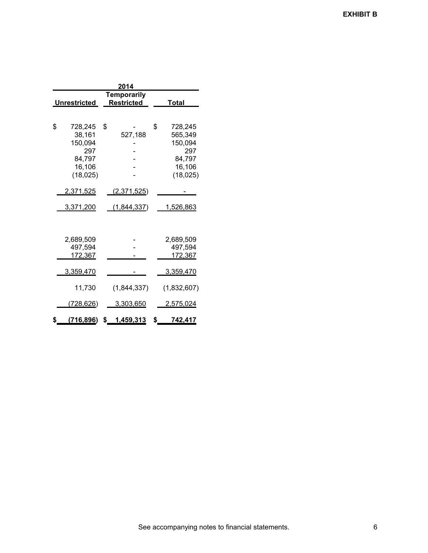|    |                                                                         |    | 2014               |    |                                                                       |  |  |  |  |
|----|-------------------------------------------------------------------------|----|--------------------|----|-----------------------------------------------------------------------|--|--|--|--|
|    | <b>Temporarily</b><br><b>Restricted</b><br><b>Unrestricted</b><br>Total |    |                    |    |                                                                       |  |  |  |  |
| \$ | 728,245<br>38,161<br>150,094<br>297<br>84,797<br>16,106<br>(18, 025)    | \$ | 527,188            | \$ | 728,245<br>565,349<br>150,094<br>297<br>84,797<br>16,106<br>(18, 025) |  |  |  |  |
|    | 2,371,525                                                               |    | <u>(2,371,525)</u> |    |                                                                       |  |  |  |  |
|    | <u>3,371,200</u>                                                        |    | (1,844,337)        |    | <u>1,526,863</u>                                                      |  |  |  |  |
|    | 2,689,509<br>497,594<br>172,367                                         |    |                    |    | 2,689,509<br>497,594<br>172,367                                       |  |  |  |  |
|    | 3,359,470                                                               |    |                    |    | 3,359,470                                                             |  |  |  |  |
|    | 11,730                                                                  |    | (1,844,337)        |    | (1,832,607)                                                           |  |  |  |  |
|    | <u>(728,626)</u>                                                        |    | <u>3,303,650</u>   |    | 2,575,024                                                             |  |  |  |  |
| S  | (716, 896)<br>\$ 1,459,313<br>\$<br>742,417                             |    |                    |    |                                                                       |  |  |  |  |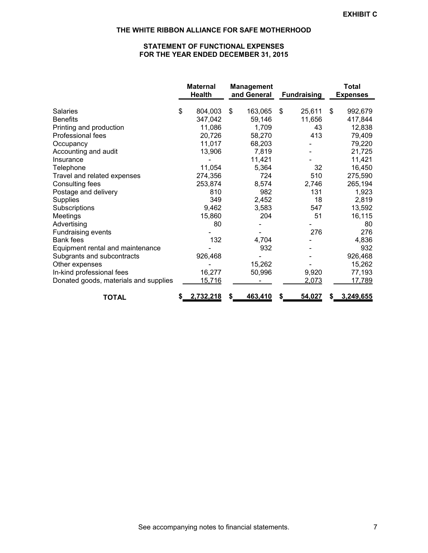# **STATEMENT OF FUNCTIONAL EXPENSES FOR THE YEAR ENDED DECEMBER 31, 2015**

|                                       |    | <b>Maternal</b><br><b>Health</b> |    | <b>Management</b><br>and General |    | <b>Fundraising</b> |    | <b>Total</b><br><b>Expenses</b> |
|---------------------------------------|----|----------------------------------|----|----------------------------------|----|--------------------|----|---------------------------------|
| Salaries                              | \$ | 804,003                          | \$ | 163,065                          | \$ | 25,611             | \$ | 992,679                         |
| <b>Benefits</b>                       |    | 347,042                          |    | 59,146                           |    | 11,656             |    | 417,844                         |
| Printing and production               |    | 11,086                           |    | 1,709                            |    | 43                 |    | 12,838                          |
| Professional fees                     |    | 20,726                           |    | 58,270                           |    | 413                |    | 79,409                          |
| Occupancy                             |    | 11,017                           |    | 68,203                           |    |                    |    | 79,220                          |
| Accounting and audit                  |    | 13,906                           |    | 7,819                            |    |                    |    | 21,725                          |
| Insurance                             |    |                                  |    | 11,421                           |    |                    |    | 11,421                          |
| Telephone                             |    | 11,054                           |    | 5,364                            |    | 32                 |    | 16,450                          |
| Travel and related expenses           |    | 274,356                          |    | 724                              |    | 510                |    | 275,590                         |
| Consulting fees                       |    | 253,874                          |    | 8,574                            |    | 2,746              |    | 265,194                         |
| Postage and delivery                  |    | 810                              |    | 982                              |    | 131                |    | 1,923                           |
| <b>Supplies</b>                       |    | 349                              |    | 2,452                            |    | 18                 |    | 2,819                           |
| Subscriptions                         |    | 9,462                            |    | 3,583                            |    | 547                |    | 13,592                          |
| Meetings                              |    | 15,860                           |    | 204                              |    | 51                 |    | 16,115                          |
| Advertising                           |    | 80                               |    |                                  |    |                    |    | 80                              |
| Fundraising events                    |    |                                  |    |                                  |    | 276                |    | 276                             |
| <b>Bank fees</b>                      |    | 132                              |    | 4,704                            |    |                    |    | 4,836                           |
| Equipment rental and maintenance      |    |                                  |    | 932                              |    |                    |    | 932                             |
| Subgrants and subcontracts            |    | 926,468                          |    |                                  |    |                    |    | 926,468                         |
| Other expenses                        |    |                                  |    | 15,262                           |    |                    |    | 15,262                          |
| In-kind professional fees             |    | 16,277                           |    | 50,996                           |    | 9,920              |    | 77,193                          |
| Donated goods, materials and supplies |    | 15,716                           |    |                                  |    | 2,073              |    | 17,789                          |
| <b>TOTAL</b>                          | S  | 2,732,218                        | S  | 463,410                          | S  | 54,027             | S  | 3,249,655                       |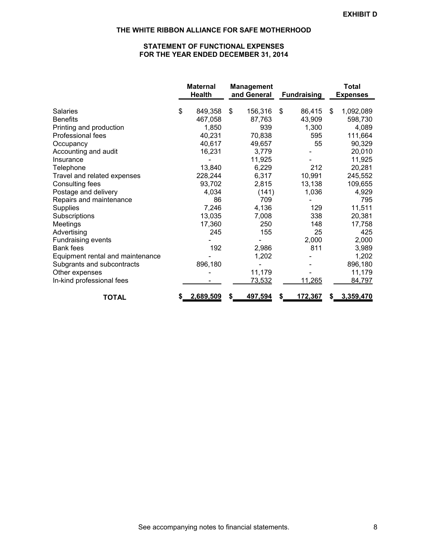# **STATEMENT OF FUNCTIONAL EXPENSES FOR THE YEAR ENDED DECEMBER 31, 2014**

|                                        | <b>Maternal</b><br><b>Health</b> |    | <b>Management</b><br>and General | <b>Fundraising</b> | <b>Total</b><br><b>Expenses</b> |
|----------------------------------------|----------------------------------|----|----------------------------------|--------------------|---------------------------------|
| Salaries                               | \$<br>849,358                    | \$ | 156,316                          | \$<br>86,415       | \$<br>1,092,089                 |
| <b>Benefits</b>                        | 467,058                          |    | 87,763                           | 43,909             | 598,730                         |
| Printing and production                | 1,850                            |    | 939                              | 1,300              | 4,089                           |
| Professional fees                      | 40,231                           |    | 70,838                           | 595                | 111,664                         |
| Occupancy                              | 40,617                           |    | 49,657                           | 55                 | 90,329                          |
| Accounting and audit                   | 16,231                           |    | 3,779                            |                    | 20,010                          |
| Insurance                              |                                  |    | 11,925                           |                    | 11,925                          |
| Telephone                              | 13,840                           |    | 6,229                            | 212                | 20,281                          |
| Travel and related expenses            | 228,244                          |    | 6,317                            | 10,991             | 245,552                         |
| Consulting fees                        | 93,702                           |    | 2,815                            | 13,138             | 109,655                         |
| Postage and delivery                   | 4,034                            |    | (141)                            | 1,036              | 4,929                           |
| Repairs and maintenance                | 86                               |    | 709                              |                    | 795                             |
| <b>Supplies</b>                        | 7,246                            |    | 4,136                            | 129                | 11,511                          |
|                                        | 13,035                           |    | 7,008                            | 338                | 20,381                          |
| Subscriptions                          |                                  |    | 250                              |                    |                                 |
| Meetings                               | 17,360                           |    |                                  | 148<br>25          | 17,758                          |
| Advertising                            | 245                              |    | 155                              | 2,000              | 425<br>2,000                    |
| Fundraising events<br><b>Bank fees</b> |                                  |    |                                  |                    |                                 |
|                                        | 192                              |    | 2,986                            | 811                | 3,989                           |
| Equipment rental and maintenance       |                                  |    | 1,202                            |                    | 1,202                           |
| Subgrants and subcontracts             | 896,180                          |    |                                  |                    | 896,180                         |
| Other expenses                         |                                  |    | 11,179                           |                    | 11,179                          |
| In-kind professional fees              |                                  |    | 73,532                           | 11,265             | 84,797                          |
| <b>TOTAL</b>                           | \$<br>2,689,509                  | S  | 497,594                          | \$<br>172,367      | \$<br>3,359,470                 |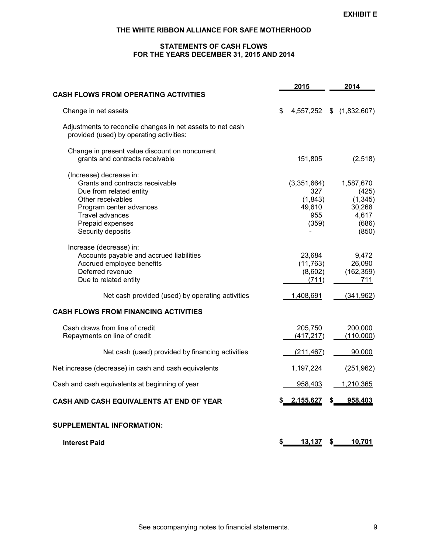# **STATEMENTS OF CASH FLOWS FOR THE YEARS DECEMBER 31, 2015 AND 2014**

|                                                                                                                                                                                                          | 2015                                                    | 2014                                                                |
|----------------------------------------------------------------------------------------------------------------------------------------------------------------------------------------------------------|---------------------------------------------------------|---------------------------------------------------------------------|
| <b>CASH FLOWS FROM OPERATING ACTIVITIES</b>                                                                                                                                                              |                                                         |                                                                     |
| Change in net assets                                                                                                                                                                                     | \$<br>4,557,252                                         | \$(1,832,607)                                                       |
| Adjustments to reconcile changes in net assets to net cash<br>provided (used) by operating activities:                                                                                                   |                                                         |                                                                     |
| Change in present value discount on noncurrent<br>grants and contracts receivable                                                                                                                        | 151,805                                                 | (2,518)                                                             |
| (Increase) decrease in:<br>Grants and contracts receivable<br>Due from related entity<br>Other receivables<br>Program center advances<br><b>Travel advances</b><br>Prepaid expenses<br>Security deposits | (3,351,664)<br>327<br>(1,843)<br>49,610<br>955<br>(359) | 1,587,670<br>(425)<br>(1, 345)<br>30,268<br>4,617<br>(686)<br>(850) |
| Increase (decrease) in:<br>Accounts payable and accrued liabilities<br>Accrued employee benefits<br>Deferred revenue<br>Due to related entity                                                            | 23,684<br>(11, 763)<br>(8,602)<br>(711)                 | 9,472<br>26,090<br>(162, 359)<br>711                                |
| Net cash provided (used) by operating activities                                                                                                                                                         | 1,408,691                                               | (341, 962)                                                          |
| <b>CASH FLOWS FROM FINANCING ACTIVITIES</b>                                                                                                                                                              |                                                         |                                                                     |
| Cash draws from line of credit<br>Repayments on line of credit                                                                                                                                           | 205,750<br>(417, 217)                                   | 200,000<br>(110,000)                                                |
| Net cash (used) provided by financing activities                                                                                                                                                         | (211, 467)                                              | 90,000                                                              |
| Net increase (decrease) in cash and cash equivalents                                                                                                                                                     | 1,197,224                                               | (251, 962)                                                          |
| Cash and cash equivalents at beginning of year                                                                                                                                                           | 958,403                                                 | 1,210,365                                                           |
| CASH AND CASH EQUIVALENTS AT END OF YEAR                                                                                                                                                                 | \$ 2,155,627                                            | 958,403<br>\$                                                       |
| SUPPLEMENTAL INFORMATION:                                                                                                                                                                                |                                                         |                                                                     |
| <b>Interest Paid</b>                                                                                                                                                                                     | \$<br>13,137                                            | 10,701<br>\$                                                        |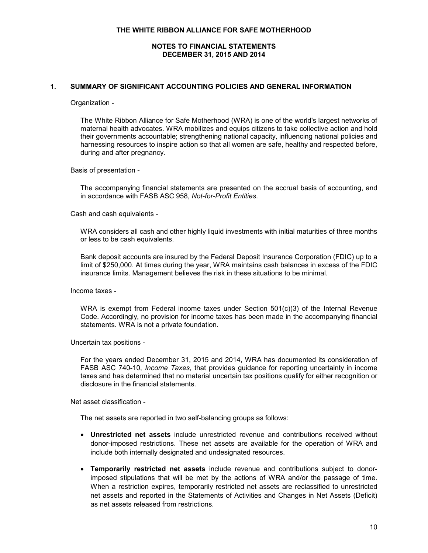#### **NOTES TO FINANCIAL STATEMENTS DECEMBER 31, 2015 AND 2014**

#### **1. SUMMARY OF SIGNIFICANT ACCOUNTING POLICIES AND GENERAL INFORMATION**

#### Organization -

The White Ribbon Alliance for Safe Motherhood (WRA) is one of the world's largest networks of maternal health advocates. WRA mobilizes and equips citizens to take collective action and hold their governments accountable; strengthening national capacity, influencing national policies and harnessing resources to inspire action so that all women are safe, healthy and respected before, during and after pregnancy.

Basis of presentation -

The accompanying financial statements are presented on the accrual basis of accounting, and in accordance with FASB ASC 958, *Not-for-Profit Entities*.

Cash and cash equivalents -

WRA considers all cash and other highly liquid investments with initial maturities of three months or less to be cash equivalents.

Bank deposit accounts are insured by the Federal Deposit Insurance Corporation (FDIC) up to a limit of \$250,000. At times during the year, WRA maintains cash balances in excess of the FDIC insurance limits. Management believes the risk in these situations to be minimal.

Income taxes -

WRA is exempt from Federal income taxes under Section 501(c)(3) of the Internal Revenue Code. Accordingly, no provision for income taxes has been made in the accompanying financial statements. WRA is not a private foundation.

Uncertain tax positions -

For the years ended December 31, 2015 and 2014, WRA has documented its consideration of FASB ASC 740-10, *Income Taxes*, that provides guidance for reporting uncertainty in income taxes and has determined that no material uncertain tax positions qualify for either recognition or disclosure in the financial statements.

Net asset classification -

The net assets are reported in two self-balancing groups as follows:

- **Unrestricted net assets** include unrestricted revenue and contributions received without donor-imposed restrictions. These net assets are available for the operation of WRA and include both internally designated and undesignated resources.
- **Temporarily restricted net assets** include revenue and contributions subject to donorimposed stipulations that will be met by the actions of WRA and/or the passage of time. When a restriction expires, temporarily restricted net assets are reclassified to unrestricted net assets and reported in the Statements of Activities and Changes in Net Assets (Deficit) as net assets released from restrictions.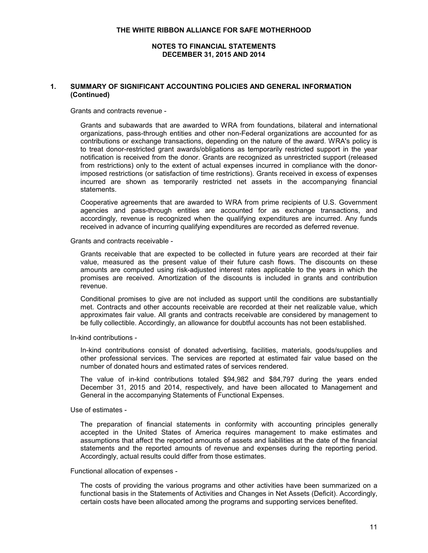#### **1. SUMMARY OF SIGNIFICANT ACCOUNTING POLICIES AND GENERAL INFORMATION (Continued)**

Grants and contracts revenue -

Grants and subawards that are awarded to WRA from foundations, bilateral and international organizations, pass-through entities and other non-Federal organizations are accounted for as contributions or exchange transactions, depending on the nature of the award. WRA's policy is to treat donor-restricted grant awards/obligations as temporarily restricted support in the year notification is received from the donor. Grants are recognized as unrestricted support (released from restrictions) only to the extent of actual expenses incurred in compliance with the donorimposed restrictions (or satisfaction of time restrictions). Grants received in excess of expenses incurred are shown as temporarily restricted net assets in the accompanying financial statements.

Cooperative agreements that are awarded to WRA from prime recipients of U.S. Government agencies and pass-through entities are accounted for as exchange transactions, and accordingly, revenue is recognized when the qualifying expenditures are incurred. Any funds received in advance of incurring qualifying expenditures are recorded as deferred revenue.

Grants and contracts receivable -

Grants receivable that are expected to be collected in future years are recorded at their fair value, measured as the present value of their future cash flows. The discounts on these amounts are computed using risk-adjusted interest rates applicable to the years in which the promises are received. Amortization of the discounts is included in grants and contribution revenue.

Conditional promises to give are not included as support until the conditions are substantially met. Contracts and other accounts receivable are recorded at their net realizable value, which approximates fair value. All grants and contracts receivable are considered by management to be fully collectible. Accordingly, an allowance for doubtful accounts has not been established.

In-kind contributions -

In-kind contributions consist of donated advertising, facilities, materials, goods/supplies and other professional services. The services are reported at estimated fair value based on the number of donated hours and estimated rates of services rendered.

The value of in-kind contributions totaled \$94,982 and \$84,797 during the years ended December 31, 2015 and 2014, respectively, and have been allocated to Management and General in the accompanying Statements of Functional Expenses.

Use of estimates -

The preparation of financial statements in conformity with accounting principles generally accepted in the United States of America requires management to make estimates and assumptions that affect the reported amounts of assets and liabilities at the date of the financial statements and the reported amounts of revenue and expenses during the reporting period. Accordingly, actual results could differ from those estimates.

#### Functional allocation of expenses -

The costs of providing the various programs and other activities have been summarized on a functional basis in the Statements of Activities and Changes in Net Assets (Deficit). Accordingly, certain costs have been allocated among the programs and supporting services benefited.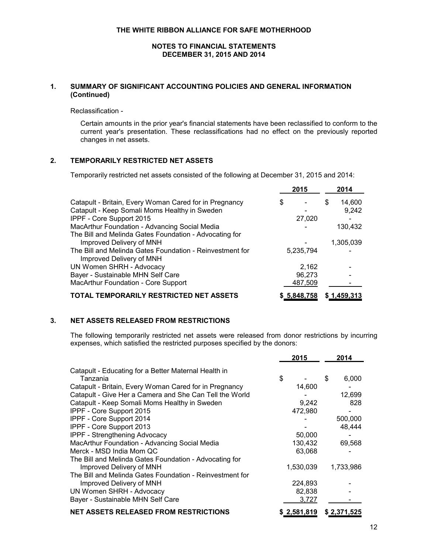# **1. SUMMARY OF SIGNIFICANT ACCOUNTING POLICIES AND GENERAL INFORMATION (Continued)**

Reclassification -

Certain amounts in the prior year's financial statements have been reclassified to conform to the current year's presentation. These reclassifications had no effect on the previously reported changes in net assets.

#### **2. TEMPORARILY RESTRICTED NET ASSETS**

Temporarily restricted net assets consisted of the following at December 31, 2015 and 2014:

|                                                                                      | 2015        |   | 2014        |
|--------------------------------------------------------------------------------------|-------------|---|-------------|
| Catapult - Britain, Every Woman Cared for in Pregnancy                               | \$          | S | 14,600      |
| Catapult - Keep Somali Moms Healthy in Sweden                                        |             |   | 9,242       |
| <b>IPPF - Core Support 2015</b>                                                      | 27,020      |   |             |
| MacArthur Foundation - Advancing Social Media                                        |             |   | 130,432     |
| The Bill and Melinda Gates Foundation - Advocating for                               |             |   |             |
| Improved Delivery of MNH                                                             |             |   | 1,305,039   |
| The Bill and Melinda Gates Foundation - Reinvestment for<br>Improved Delivery of MNH | 5,235,794   |   |             |
| <b>UN Women SHRH - Advocacy</b>                                                      | 2,162       |   |             |
| Bayer - Sustainable MHN Self Care                                                    | 96,273      |   |             |
| MacArthur Foundation - Core Support                                                  | 487,509     |   |             |
| TOTAL TEMPORARILY RESTRICTED NET ASSETS                                              | \$5,848,758 |   | \$1,459,313 |

# **3. NET ASSETS RELEASED FROM RESTRICTIONS**

The following temporarily restricted net assets were released from donor restrictions by incurring expenses, which satisfied the restricted purposes specified by the donors:

|                                                                  | 2015        | 2014        |
|------------------------------------------------------------------|-------------|-------------|
| Catapult - Educating for a Better Maternal Health in<br>Tanzania | \$          | \$<br>6,000 |
| Catapult - Britain, Every Woman Cared for in Pregnancy           | 14,600      |             |
| Catapult - Give Her a Camera and She Can Tell the World          |             | 12,699      |
| Catapult - Keep Somali Moms Healthy in Sweden                    | 9,242       | 828         |
| IPPF - Core Support 2015                                         | 472,980     |             |
| IPPF - Core Support 2014                                         |             | 500,000     |
| IPPF - Core Support 2013                                         |             | 48,444      |
| <b>IPPF - Strengthening Advocacy</b>                             | 50,000      |             |
| MacArthur Foundation - Advancing Social Media                    | 130,432     | 69,568      |
| Merck - MSD India Mom QC                                         | 63,068      |             |
| The Bill and Melinda Gates Foundation - Advocating for           |             |             |
| Improved Delivery of MNH                                         | 1,530,039   | 1,733,986   |
| The Bill and Melinda Gates Foundation - Reinvestment for         |             |             |
| Improved Delivery of MNH                                         | 224,893     |             |
| UN Women SHRH - Advocacy                                         | 82,838      |             |
| Bayer - Sustainable MHN Self Care                                | 3,727       |             |
| NET ASSETS RELEASED FROM RESTRICTIONS                            | \$2,581,819 | \$2,371,525 |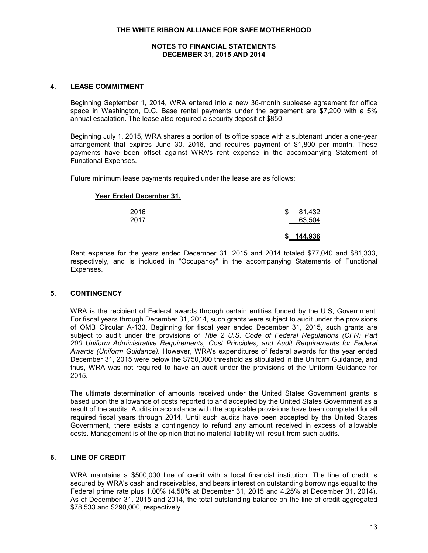# **4. LEASE COMMITMENT**

Beginning September 1, 2014, WRA entered into a new 36-month sublease agreement for office space in Washington, D.C. Base rental payments under the agreement are \$7,200 with a 5% annual escalation. The lease also required a security deposit of \$850.

Beginning July 1, 2015, WRA shares a portion of its office space with a subtenant under a one-year arrangement that expires June 30, 2016, and requires payment of \$1,800 per month. These payments have been offset against WRA's rent expense in the accompanying Statement of Functional Expenses.

Future minimum lease payments required under the lease are as follows:

# **Year Ended December 31,**

|      | 144,936 |
|------|---------|
| 2017 | 63,504  |
| 2016 | 81,432  |

Rent expense for the years ended December 31, 2015 and 2014 totaled \$77,040 and \$81,333, respectively, and is included in "Occupancy" in the accompanying Statements of Functional Expenses.

# **5. CONTINGENCY**

WRA is the recipient of Federal awards through certain entities funded by the U.S, Government. For fiscal years through December 31, 2014, such grants were subject to audit under the provisions of OMB Circular A-133. Beginning for fiscal year ended December 31, 2015, such grants are subject to audit under the provisions of *Title 2 U.S. Code of Federal Regulations (CFR) Part 200 Uniform Administrative Requirements, Cost Principles, and Audit Requirements for Federal Awards (Uniform Guidance).* However, WRA's expenditures of federal awards for the year ended December 31, 2015 were below the \$750,000 threshold as stipulated in the Uniform Guidance, and thus, WRA was not required to have an audit under the provisions of the Uniform Guidance for 2015.

The ultimate determination of amounts received under the United States Government grants is based upon the allowance of costs reported to and accepted by the United States Government as a result of the audits. Audits in accordance with the applicable provisions have been completed for all required fiscal years through 2014. Until such audits have been accepted by the United States Government, there exists a contingency to refund any amount received in excess of allowable costs. Management is of the opinion that no material liability will result from such audits.

# **6. LINE OF CREDIT**

WRA maintains a \$500,000 line of credit with a local financial institution. The line of credit is secured by WRA's cash and receivables, and bears interest on outstanding borrowings equal to the Federal prime rate plus 1.00% (4.50% at December 31, 2015 and 4.25% at December 31, 2014). As of December 31, 2015 and 2014, the total outstanding balance on the line of credit aggregated \$78,533 and \$290,000, respectively.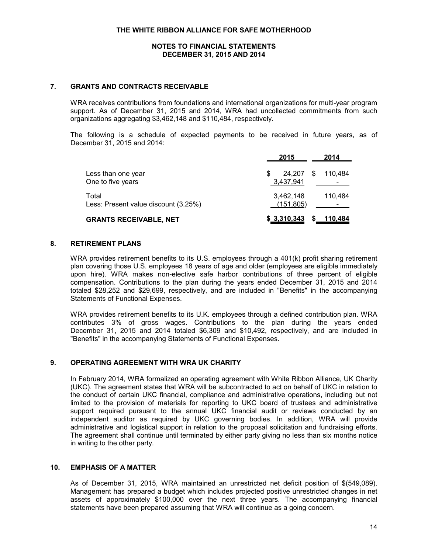#### **7. GRANTS AND CONTRACTS RECEIVABLE**

WRA receives contributions from foundations and international organizations for multi-year program support. As of December 31, 2015 and 2014, WRA had uncollected commitments from such organizations aggregating \$3,462,148 and \$110,484, respectively.

The following is a schedule of expected payments to be received in future years, as of December 31, 2015 and 2014:

|                                               | 2015                          | 2014         |
|-----------------------------------------------|-------------------------------|--------------|
| Less than one year<br>One to five years       | 24.207<br>3,437,941           | S<br>110.484 |
| Total<br>Less: Present value discount (3.25%) | 3,462,148<br><u>(151,805)</u> | 110.484      |
| <b>GRANTS RECEIVABLE, NET</b>                 | \$3,310,343                   | 110,484      |

#### **8. RETIREMENT PLANS**

WRA provides retirement benefits to its U.S. employees through a 401(k) profit sharing retirement plan covering those U.S. employees 18 years of age and older (employees are eligible immediately upon hire). WRA makes non-elective safe harbor contributions of three percent of eligible compensation. Contributions to the plan during the years ended December 31, 2015 and 2014 totaled \$28,252 and \$29,699, respectively, and are included in "Benefits" in the accompanying Statements of Functional Expenses.

WRA provides retirement benefits to its U.K. employees through a defined contribution plan. WRA contributes 3% of gross wages. Contributions to the plan during the years ended December 31, 2015 and 2014 totaled \$6,309 and \$10,492, respectively, and are included in "Benefits" in the accompanying Statements of Functional Expenses.

#### **9. OPERATING AGREEMENT WITH WRA UK CHARITY**

In February 2014, WRA formalized an operating agreement with White Ribbon Alliance, UK Charity (UKC). The agreement states that WRA will be subcontracted to act on behalf of UKC in relation to the conduct of certain UKC financial, compliance and administrative operations, including but not limited to the provision of materials for reporting to UKC board of trustees and administrative support required pursuant to the annual UKC financial audit or reviews conducted by an independent auditor as required by UKC governing bodies. In addition, WRA will provide administrative and logistical support in relation to the proposal solicitation and fundraising efforts. The agreement shall continue until terminated by either party giving no less than six months notice in writing to the other party.

#### **10. EMPHASIS OF A MATTER**

As of December 31, 2015, WRA maintained an unrestricted net deficit position of \$(549,089). Management has prepared a budget which includes projected positive unrestricted changes in net assets of approximately \$100,000 over the next three years. The accompanying financial statements have been prepared assuming that WRA will continue as a going concern.